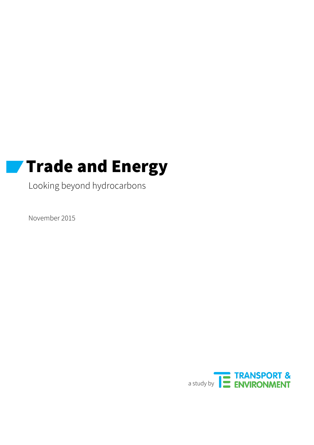# **Trade and Energy**

Looking beyond hydrocarbons

November 2015

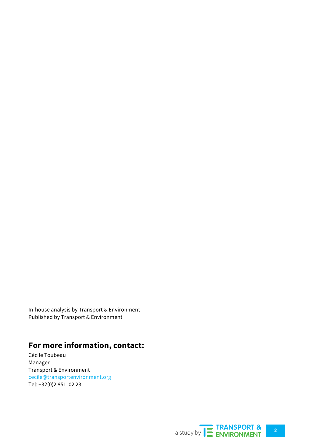In-house analysis by Transport & Environment Published by Transport & Environment

## **For more information, contact:**

Cécile Toubeau Manager Transport & Environment cecile@transportenvironment.org Tel: +32(0)2 851 02 23

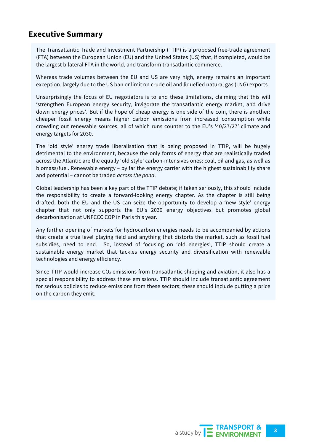## **Executive Summary**

The Transatlantic Trade and Investment Partnership (TTIP) is a proposed free-trade agreement (FTA) between the European Union (EU) and the United States (US) that, if completed, would be the largest bilateral FTA in the world, and transform transatlantic commerce.

Whereas trade volumes between the EU and US are very high, energy remains an important exception, largely due to the US ban or limit on crude oil and liquefied natural gas (LNG) exports.

Unsurprisingly the focus of EU negotiators is to end these limitations, claiming that this will 'strengthen European energy security, invigorate the transatlantic energy market, and drive down energy prices'.<sup>†</sup> But if the hope of cheap energy is one side of the coin, there is another: cheaper fossil energy means higher carbon emissions from increased consumption while crowding out renewable sources, all of which runs counter to the EU's '40/27/27' climate and energy targets for 2030.

The 'old style' energy trade liberalisation that is being proposed in TTIP, will be hugely detrimental to the environment, because the only forms of energy that are realistically traded across the Atlantic are the equally 'old style' carbon-intensives ones: coal, oil and gas, as well as biomass/fuel. Renewable energy – by far the energy carrier with the highest sustainability share and potential – cannot be traded *across the pond*.

Global leadership has been a key part of the TTIP debate; if taken seriously, this should include the responsibility to create a forward-looking energy chapter. As the chapter is still being drafted, both the EU and the US can seize the opportunity to develop a 'new style' energy chapter that not only supports the EU's 2030 energy objectives but promotes global decarbonisation at UNFCCC COP in Paris this year.

Any further opening of markets for hydrocarbon energies needs to be accompanied by actions that create a true level playing field and anything that distorts the market, such as fossil fuel subsidies, need to end. So, instead of focusing on 'old energies', TTIP should create a sustainable energy market that tackles energy security and diversification with renewable technologies and energy efficiency.

Since TTIP would increase  $CO<sub>2</sub>$  emissions from transatlantic shipping and aviation, it also has a special responsibility to address these emissions. TTIP should include transatlantic agreement for serious policies to reduce emissions from these sectors; these should include putting a price on the carbon they emit.

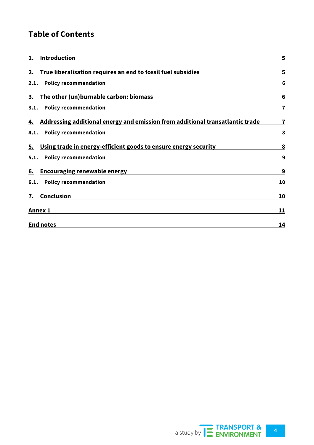## **Table of Contents**

| 1.   | Introduction                                                                  | 5                       |
|------|-------------------------------------------------------------------------------|-------------------------|
| 2.   | True liberalisation requires an end to fossil fuel subsidies                  | 5                       |
| 2.1. | <b>Policy recommendation</b>                                                  | 6                       |
| 3.   | The other (un)burnable carbon: biomass                                        | 6                       |
| 3.1. | <b>Policy recommendation</b>                                                  | $\overline{7}$          |
| 4.   | Addressing additional energy and emission from additional transatlantic trade | $\overline{\mathbf{r}}$ |
| 4.1. | <b>Policy recommendation</b>                                                  | 8                       |
| 5.   | Using trade in energy-efficient goods to ensure energy security               | 8                       |
|      | 5.1. Policy recommendation                                                    | 9                       |
| 6.   | <b>Encouraging renewable energy</b>                                           | 9                       |
| 6.1. | <b>Policy recommendation</b>                                                  | 10                      |
| 7.   | Conclusion                                                                    | 10                      |
|      | <b>Annex 1</b>                                                                | 11                      |
|      | <b>End notes</b>                                                              | 14                      |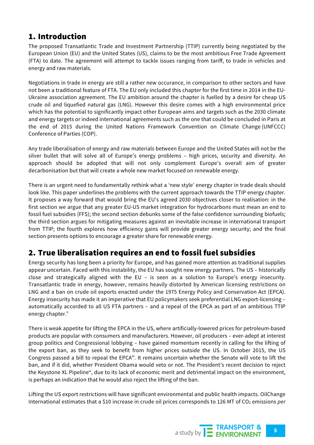## 1. Introduction

The proposed Transatlantic Trade and Investment Partnership (TTIP) currently being negotiated by the European Union (EU) and the United States (US), claims to be the most ambitious Free Trade Agreement (FTA) to date. The agreement will attempt to tackle issues ranging from tariff, to trade in vehicles and energy and raw materials.

Negotiations in trade in energy are still a rather new occurance, in comparison to other sectors and have not been a traditional feature of FTA. The EU only included this chapter for the first time in 2014 in the EU-Ukraine association agreement. The EU ambition around the chapter is fuelled by a desire for cheap US crude oil and liquefied natural gas (LNG). However this desire comes with a high environmental price which has the potential to significantly impact other European aims and targets such as the 2030 climate and energy targets or indeed international agreements such as the one that could be concluded in Paris at the end of 2015 during the United Nations Framework Convention on Climate Change (UNFCCC) Conference of Parties (COP).

Any trade liberalisation of energy and raw materials between Europe and the United States will not be the silver bullet that will solve all of Europe's energy problems – high prices, security and diversity. An approach should be adopted that will not only complement Europe's overall aim of greater decarbonisation but that will create a whole new market focused on renewable energy.

There is an urgent need to fundamentally rethink what a 'new style' energy chapter in trade deals should look like. This paper underlines the problems with the current approach towards the TTIP energy chapter. It proposes a way forward that would bring the EU's agreed 2030 objectives closer to realisation: in the first section we argue that any greater EU-US market integration for hydrocarbons must mean an end to fossil fuel subsidies (FFS); the second section debunks some of the false confidence surrounding biofuels; the third section argues for mitigating measures against an inevitable increase in international transport from TTIP; the fourth explores how efficiency gains will provide greater energy security; and the final section presents options to encourage a greater share for renewable energy.

## 2. True liberalisation requires an end to fossil fuel subsidies

Energy security has long been a priority for Europe, and has gained more attention as traditional supplies appear uncertain. Faced with this instability, the EU has sought new energy partners. The US – historically close and strategically aligned with the EU – is seen as a solution to Europe's energy insecurity. Transatlantic trade in energy, however, remains heavily distorted by American licensing restrictions on LNG and a ban on crude oil exports enacted under the 1975 Energy Policy and Conservation Act (EPCA). Energy insecurity has made it an imperative that EU policymakers seek preferential LNG export-licensing – automatically accorded to all US FTA partners – and a repeal of the EPCA as part of an ambitious TTIP energy chapter.<sup>ii</sup>

There is weak appetite for lifting the EPCA in the US, where artificially-lowered prices for petroleum-based products are popular with consumers and manufacturers. However, oil producers – ever-adept at interest group politics and Congressional lobbying – have gained momentum recently in calling for the lifting of the export ban, as they seek to benefit from higher prices outside the US. In October 2015, the US Congress passed a bill to repeal the EPCA<sup>III</sup>. It remains uncertain whether the Senate will vote to lift the ban, and if it did, whether President Obama would veto or not. The President's recent decision to reject the Keystone XL Pipelineiv, due to its lack of economic merit and detrimental impact on the environment, is perhaps an indication that he would also reject the lifting of the ban.

Lifting the US export restrictions will have significant environmental and public health impacts. OilChange International estimates that a \$10 increase in crude oil prices corresponds to 126 MT of CO<sub>2</sub> emissions *per*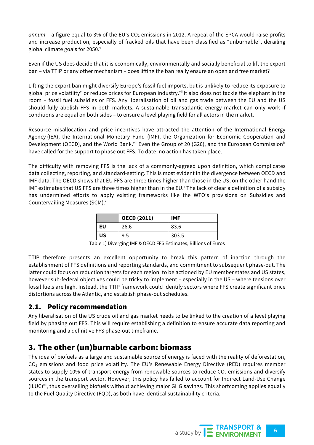annum – a figure equal to 3% of the EU's  $CO<sub>2</sub>$  emissions in 2012. A repeal of the EPCA would raise profits and increase production, especially of fracked oils that have been classified as "unburnable", derailing global climate goals for 2050.<sup>v</sup>

Even if the US does decide that it is economically, environmentally and socially beneficial to lift the export ban – via TTIP or any other mechanism – does lifting the ban really ensure an open and free market?

Lifting the export ban might diversify Europe's fossil fuel imports, but is unlikely to reduce its exposure to global price volatility<sup>vi</sup> or reduce prices for European industry.<sup>vii</sup> It also does not tackle the elephant in the room – fossil fuel subsidies or FFS. Any liberalisation of oil and gas trade between the EU and the US should fully abolish FFS in both markets. A sustainable transatlantic energy market can only work if conditions are equal on both sides – to ensure a level playing field for all actors in the market.

Resource misallocation and price incentives have attracted the attention of the International Energy Agency (IEA), the International Monetary Fund (IMF), the Organization for Economic Cooperation and Development (OECD), and the World Bank.<sup>viii</sup> Even the Group of 20 (G20), and the European Commission<sup>ix</sup> have called for the support to phase out FFS. To date, no action has taken place.

The difficulty with removing FFS is the lack of a commonly-agreed upon definition, which complicates data collecting, reporting, and standard-setting. This is most evident in the divergence between OECD and IMF data. The OECD shows that EU FFS are three times higher than those in the US; on the other hand the IMF estimates that US FFS are three times higher than in the EU. $^{\circ}$  The lack of clear a definition of a subsidy has undermined efforts to apply existing frameworks like the WTO's provisions on Subsidies and Countervailing Measures (SCM).<sup>xi</sup>

|    | <b>OECD (2011)</b> | <b>IMF</b> |
|----|--------------------|------------|
| EU | 26.6               | 83.6       |
| US | 9.5                | 303.5      |

Table 1) Diverging IMF & OECD FFS Estimates, Billions of Euros

TTIP therefore presents an excellent opportunity to break this pattern of inaction through the establishment of FFS definitions and reporting standards, and commitment to subsequent phase-out. The latter could focus on reduction targets for each region, to be actioned by EU member states and US states, however sub-federal objectives could be tricky to implement – especially in the US – where tensions over fossil fuels are high. Instead, the TTIP framework could identify sectors where FFS create significant price distortions across the Atlantic, and establish phase-out schedules.

#### 2.1. Policy recommendation

Any liberalisation of the US crude oil and gas market needs to be linked to the creation of a level playing field by phasing out FFS. This will require establishing a definition to ensure accurate data reporting and monitoring and a definitive FFS phase-out timeframe.

## 3. The other (un)burnable carbon: biomass

The idea of biofuels as a large and sustainable source of energy is faced with the reality of deforestation, CO2 emissions and food price volatility. The EU's Renewable Energy Directive (RED) requires member states to supply 10% of transport energy from renewable sources to reduce  $CO<sub>2</sub>$  emissions and diversify sources in the transport sector. However, this policy has failed to account for Indirect Land-Use Change  $(ILUC)^{xii}$ , thus overselling biofuels without achieving major GHG savings. This shortcoming applies equally to the Fuel Quality Directive (FQD), as both have identical sustainability criteria.

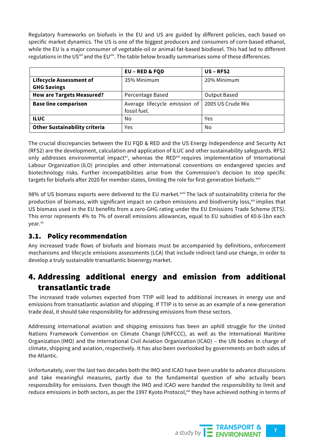Regulatory frameworks on biofuels in the EU and US are guided by different policies, each based on specific market dynamics. The US is one of the biggest producers and consumers of corn-based ethanol, while the EU is a major consumer of vegetable-oil or animal-fat-based biodiesel. This had led to different regulations in the US<sup>xiii</sup> and the EU<sup>xiv</sup>. The table below broadly summarises some of these differences:

|                                      | <b>EU - RED &amp; FQD</b>                     | $US$ – RFS2         |  |  |
|--------------------------------------|-----------------------------------------------|---------------------|--|--|
| <b>Lifecycle Assessment of</b>       | 35% Minimum                                   | 20% Minimum         |  |  |
| <b>GHG Savings</b>                   |                                               |                     |  |  |
| <b>How are Targets Measured?</b>     | Percentage Based                              | <b>Output Based</b> |  |  |
| <b>Base line comparison</b>          | Average lifecycle emission of<br>fossil fuel. | 2005 US Crude Mix   |  |  |
| <b>ILUC</b>                          | No                                            | Yes                 |  |  |
| <b>Other Sustainability criteria</b> | Yes                                           | No                  |  |  |

The crucial discrepancies between the EU FQD & RED and the US Energy Independence and Security Act (RFS2) are the development, calculation and application of ILUC and other sustainability safeguards. RFS2 only addresses environmental impact<sup>xv</sup>, whereas the RED<sup>xvi</sup> requires implementation of International Labour Organization (ILO) principles and other international conventions on endangered species and biotechnology risks. Further incompatibilities arise from the Commission's decision to stop specific targets for biofuels after 2020 for member states, limiting the role for first-generation biofuels.<sup>xvii</sup>

98% of US biomass exports were delivered to the EU market.<sup>xviii</sup> The lack of sustainability criteria for the production of biomass, with significant impact on carbon emissions and biodiversity loss,  $x^k$  implies that US biomass used in the EU benefits from a zero-GHG rating under the EU Emissions Trade Scheme (ETS). This error represents 4% to 7% of overall emissions allowances, equal to EU subsidies of €0.6-1bn each vear.<sup>xx</sup>

### 3.1. Policy recommendation

Any increased trade flows of biofuels and biomass must be accompanied by definitions, enforcement mechanisms and lifecycle emissions assessments (LCA) that include indirect land-use change, in order to develop a truly sustainable transatlantic bioenergy market.

## 4. Addressing additional energy and emission from additional transatlantic trade

The increased trade volumes expected from TTIP will lead to additional increases in energy use and emissions from transatlantic aviation and shipping. If TTIP is to serve as an example of a new-generation trade deal, it should take responsibility for addressing emissions from these sectors.

Addressing international aviation and shipping emissions has been an uphill struggle for the United Nations Framework Convention on Climate Change (UNFCCC), as well as the International Maritime Organization (IMO) and the International Civil Aviation Organization (ICAO) – the UN bodies in charge of climate, shipping and aviation, respectively. It has also been overlooked by governments on both sides of the Atlantic.

Unfortunately, over the last two decades both the IMO and ICAO have been unable to advance discussions and take meaningful measures, partly due to the fundamental question of who actually bears responsibility for emissions. Even though the IMO and ICAO were handed the responsibility to limit and reduce emissions in both sectors, as per the 1997 Kyoto Protocol,<sup>xxi</sup> they have achieved nothing in terms of

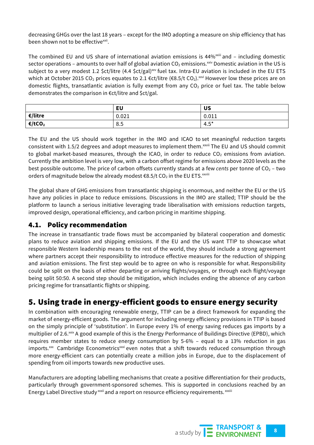decreasing GHGs over the last 18 years – except for the IMO adopting a measure on ship efficiency that has been shown not to be effective<sup>xxii</sup>.

The combined EU and US share of international aviation emissions is 44%<sup>xxiii</sup> and - including domestic sector operations – amounts to over half of global aviation  $CO_2$  emissions.<sup>xxiv</sup> Domestic aviation in the US is subject to a very modest 1.2 \$ct/litre (4.4 \$ct/gal)<sup>xxv</sup> fuel tax. Intra-EU aviation is included in the EU ETS which at October 2015 CO<sub>2</sub> prices equates to 2.1  $\epsilon$ ct/litre ( $\epsilon$ 8.5/t CO<sub>2</sub>).<sup>xxvi</sup> However low these prices are on domestic flights, transatlantic aviation is fully exempt from any  $CO<sub>2</sub>$  price or fuel tax. The table below demonstrates the comparison in €ct/litre and \$ct/gal.

|            | <b>EU</b> | <b>US</b> |
|------------|-----------|-----------|
| $E/$ litre | 0.021     | 0.011     |
| €/tCO2     | 8.5       | $4.5^*$   |

The EU and the US should work together in the IMO and ICAO to set meaningful reduction targets consistent with 1.5/2 degrees and adopt measures to implement them.<sup>xxvii</sup> The EU and US should commit to global market-based measures, through the ICAO, in order to reduce  $CO<sub>2</sub>$  emissions from aviation. Currently the ambition level is very low, with a carbon offset regime for emissions above 2020 levels as the best possible outcome. The price of carbon offsets currently stands at a few *cents* per tonne of CO<sub>2</sub> – two orders of magnitude below the already modest €8.5/t CO2 in the EU ETS. $^{\text{xwiii}}$ 

The global share of GHG emissions from transatlantic shipping is enormous, and neither the EU or the US have any policies in place to reduce emissions. Discussions in the IMO are stalled; TTIP should be the platform to launch a serious initiative leveraging trade liberalisation with emissions reduction targets, improved design, operational efficiency, and carbon pricing in maritime shipping.

#### 4.1. Policy recommendation

The increase in transatlantic trade flows must be accompanied by bilateral cooperation and domestic plans to reduce aviation and shipping emissions. If the EU and the US want TTIP to showcase what responsible Western leadership means to the rest of the world, they should include a strong agreement where partners accept their responsibility to introduce effective measures for the reduction of shipping and aviation emissions. The first step would be to agree on who is responsible for what. Responsibility could be split on the basis of either departing or arriving flights/voyages, or through each flight/voyage being split 50:50. A second step should be mitigation, which includes ending the absence of any carbon pricing regime for transatlantic flights or shipping.

## 5. Using trade in energy-efficient goods to ensure energy security

In combination with encouraging renewable energy, TTIP can be a direct framework for expanding the market of energy-efficient goods. The argument for including energy efficiency provisions in TTIP is based on the simply principle of 'substitution'. In Europe every 1% of energy saving reduces gas imports by a multiplier of 2.6.<sup>xxix</sup> A good example of this is the Energy Performance of Buildings Directive (EPBD), which requires member states to reduce energy consumption by 5-6% – equal to a 13% reduction in gas imports. $\frac{x}{x}$  Cambridge Econometrics $\frac{x}{x}$  even notes that a shift towards reduced consumption through more energy-efficient cars can potentially create a million jobs in Europe, due to the displacement of spending from oil imports towards new productive uses.

Manufacturers are adopting labelling mechanisms that create a positive differentiation for their products, particularly through government-sponsored schemes. This is supported in conclusions reached by an Energy Label Directive study<sup>xxxii</sup> and a report on resource efficiency requirements. xxxiii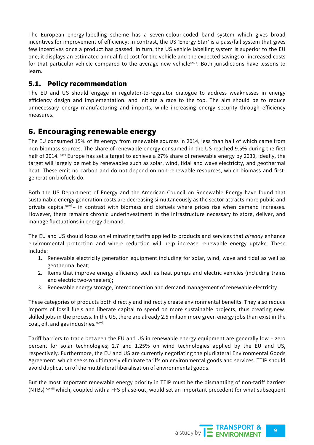The European energy-labelling scheme has a seven-colour-coded band system which gives broad incentives for improvement of efficiency; in contrast, the US 'Energy Star' is a pass/fail system that gives few incentives once a product has passed. In turn, the US vehicle labelling system is superior to the EU one; it displays an estimated annual fuel cost for the vehicle and the expected savings or increased costs for that particular vehicle compared to the average new vehiclexxxiv. Both jurisdictions have lessons to learn.

#### 5.1. Policy recommendation

The EU and US should engage in regulator-to-regulator dialogue to address weaknesses in energy efficiency design and implementation, and initiate a race to the top. The aim should be to reduce unnecessary energy manufacturing and imports, while increasing energy security through efficiency measures.

## 6. Encouraging renewable energy

The EU consumed 15% of its energy from renewable sources in 2014, less than half of which came from non-biomass sources. The share of renewable energy consumed in the US reached 9.5% during the first half of 2014. xxxv Europe has set a target to achieve a 27% share of renewable energy by 2030; ideally, the target will largely be met by renewables such as solar, wind, tidal and wave electricity, and geothermal heat. These emit no carbon and do not depend on non-renewable resources, which biomass and firstgeneration biofuels do.

Both the US Department of Energy and the American Council on Renewable Energy have found that sustainable energy generation costs are decreasing simultaneously as the sector attracts more public and private capital $x_{\text{av}}$  – in contrast with biomass and biofuels where prices rise when demand increases. However, there remains chronic underinvestment in the infrastructure necessary to store, deliver, and manage fluctuations in energy demand.

The EU and US should focus on eliminating tariffs applied to products and services that *already* enhance environmental protection and where reduction will help increase renewable energy uptake. These include:

- 1. Renewable electricity generation equipment including for solar, wind, wave and tidal as well as geothermal heat;
- 2. Items that improve energy efficiency such as heat pumps and electric vehicles (including trains and electric two-wheelers);
- 3. Renewable energy storage, interconnection and demand management of renewable electricity.

These categories of products both directly and indirectly create environmental benefits. They also reduce imports of fossil fuels and liberate capital to spend on more sustainable projects, thus creating new, skilled jobs in the process. In the US, there are already 2.5 million more green energy jobs than exist in the coal, oil, and gas industries.<sup>xxxvii</sup>

Tariff barriers to trade between the EU and US in renewable energy equipment are generally low – zero percent for solar technologies; 2.7 and 1.25% on wind technologies applied by the EU and US, respectively. Furthermore, the EU and US are currently negotiating the plurilateral Environmental Goods Agreement, which seeks to ultimately eliminate tariffs on environmental goods and services. TTIP should avoid duplication of the multilateral liberalisation of environmental goods.

But the most important renewable energy priority in TTIP must be the dismantling of non-tariff barriers (NTBs) xxxviii which, coupled with a FFS phase-out, would set an important precedent for what subsequent

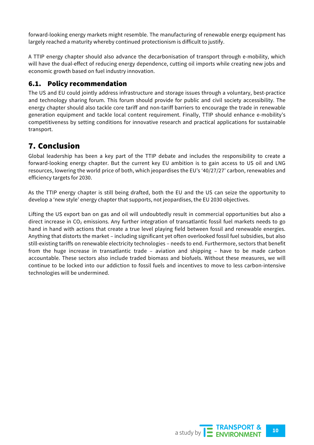forward-looking energy markets might resemble. The manufacturing of renewable energy equipment has largely reached a maturity whereby continued protectionism is difficult to justify.

A TTIP energy chapter should also advance the decarbonisation of transport through e-mobility, which will have the dual-effect of reducing energy dependence, cutting oil imports while creating new jobs and economic growth based on fuel industry innovation.

#### 6.1. Policy recommendation

The US and EU could jointly address infrastructure and storage issues through a voluntary, best-practice and technology sharing forum. This forum should provide for public and civil society accessibility. The energy chapter should also tackle core tariff and non-tariff barriers to encourage the trade in renewable generation equipment and tackle local content requirement. Finally, TTIP should enhance e-mobility's competitiveness by setting conditions for innovative research and practical applications for sustainable transport.

## 7. Conclusion

Global leadership has been a key part of the TTIP debate and includes the responsibility to create a forward-looking energy chapter. But the current key EU ambition is to gain access to US oil and LNG resources, lowering the world price of both, which jeopardises the EU's '40/27/27' carbon, renewables and efficiency targets for 2030.

As the TTIP energy chapter is still being drafted, both the EU and the US can seize the opportunity to develop a 'new style' energy chapter that supports, not jeopardises, the EU 2030 objectives.

Lifting the US export ban on gas and oil will undoubtedly result in commercial opportunities but also a direct increase in CO<sub>2</sub> emissions. Any further integration of transatlantic fossil fuel markets needs to go hand in hand with actions that create a true level playing field between fossil and renewable energies. Anything that distorts the market – including significant yet often overlooked fossil fuel subsidies, but also still-existing tariffs on renewable electricity technologies – needs to end. Furthermore, sectors that benefit from the huge increase in transatlantic trade – aviation and shipping – have to be made carbon accountable. These sectors also include traded biomass and biofuels. Without these measures, we will continue to be locked into our addiction to fossil fuels and incentives to move to less carbon-intensive technologies will be undermined.

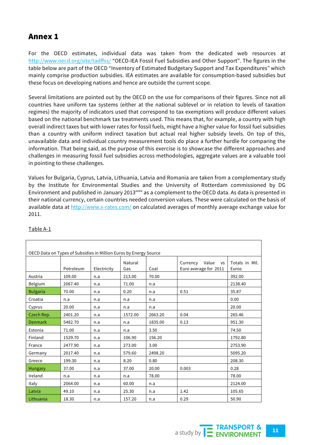## Annex 1

For the OECD estimates, individual data was taken from the dedicated web resources at http://www.oecd.org/site/tadffss/ "OECD-IEA Fossil Fuel Subsidies and Other Support". The figures in the table below are part of the OECD "Inventory of Estimated Budgetary Support and Tax Expenditures" which mainly comprise production subsidies. IEA estimates are available for consumption-based subsidies but these focus on developing nations and hence are outside the current scope.

Several limitations are pointed out by the OECD on the use for comparisons of their figures. Since not all countries have uniform tax systems (either at the national sublevel or in relation to levels of taxation regimes) the majority of indicators used that correspond to tax exemptions will produce different values based on the national benchmark tax treatments used. This means that, for example, a country with high overall indirect taxes but with lower rates for fossil fuels, might have a higher value for fossil fuel subsidies than a country with uniform indirect taxation but actual real higher subsidy levels. On top of this, unavailable data and individual country measurement tools do place a further hurdle for comparing the information. That being said, as the purpose of this exercise is to showcase the different approaches and challenges in measuring fossil fuel subsidies across methodologies, aggregate values are a valuable tool in pointing to these challenges.

Values for Bulgaria, Cyprus, Latvia, Lithuania, Latvia and Romania are taken from a complementary study by the Institute for Environmental Studies and the University of Rotterdam commissioned by DG Environment and published in January 2013<sup>xxxx</sup> as a complement to the OECD data. As data is presented in their national currency, certain countries needed conversion values. These were calculated on the basis of available data at http://www.x-rates.com/ on calculated averages of monthly average exchange value for 2011.

| OECD Data on Types of Subsidies in Million Euros by Energy Source |           |             |                |         |                                                         |                         |  |  |
|-------------------------------------------------------------------|-----------|-------------|----------------|---------|---------------------------------------------------------|-------------------------|--|--|
|                                                                   | Petroleum | Electricity | Natural<br>Gas | Coal    | Value<br>Currency<br><b>VS</b><br>Euro average for 2011 | Totals in Mil.<br>Euros |  |  |
| Austria                                                           | 109.00    | n.a         | 213.00         | 70.00   |                                                         | 392.00                  |  |  |
| Belgium                                                           | 2067.40   | n.a         | 71.00          | n.a     |                                                         | 2138.40                 |  |  |
| <b>Bulgaria</b>                                                   | 70.00     | n.a         | 0.20           | n.a     | 0.51                                                    | 35.87                   |  |  |
| Croatia                                                           | n.a       | n.a         | n.a            | n.a     |                                                         | 0.00                    |  |  |
| Cyprus                                                            | 20.00     | n.a         | n.a            | n.a     |                                                         | 20.00                   |  |  |
| Czech Rep.                                                        | 2401.20   | n.a         | 1572.00        | 2663.20 | 0.04                                                    | 265.46                  |  |  |
| <b>Denmark</b>                                                    | 5482.70   | n.a         | n.a            | 1835.00 | 0.13                                                    | 951.30                  |  |  |
| Estonia                                                           | 71.00     | n.a         | n.a            | 3.50    |                                                         | 74.50                   |  |  |
| Finland                                                           | 1529.70   | n.a         | 106.90         | 156.20  |                                                         | 1792.80                 |  |  |
| France                                                            | 2477.90   | n.a         | 273.00         | 3.00    |                                                         | 2753.90                 |  |  |
| Germany                                                           | 2017.40   | n.a         | 579.60         | 2498.20 |                                                         | 5095.20                 |  |  |
| Greece                                                            | 199.30    | n.a         | 8.20           | 0.80    |                                                         | 208.30                  |  |  |
| <b>Hungary</b>                                                    | 37.00     | n.a         | 37.00          | 20.00   | 0.003                                                   | 0.28                    |  |  |
| Ireland                                                           | n.a       | n.a         | n.a            | 78.00   |                                                         | 78.00                   |  |  |
| Italy                                                             | 2064.00   | n.a         | 60.00          | n.a     |                                                         | 2124.00                 |  |  |
| Latvia                                                            | 49.10     | n.a         | 25.30          | n.a     | 1.42                                                    | 105.65                  |  |  |
| Lithuania                                                         | 18.30     | n.a         | 157.20         | n.a     | 0.29                                                    | 50.90                   |  |  |

#### Table A-1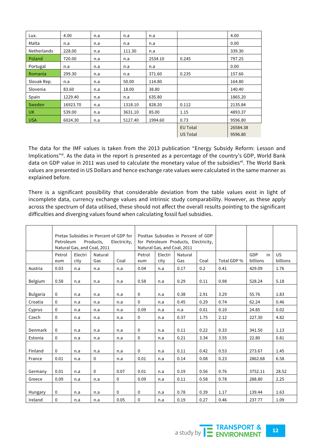| Lux.        | 4.00     | n.a | n.a     | n.a     |                 | 4.00     |  |
|-------------|----------|-----|---------|---------|-----------------|----------|--|
| Malta       | n.a      | n.a | n.a     | n.a     |                 | 0.00     |  |
| Netherlands | 228.00   | n.a | 111.30  | n.a     |                 | 339.30   |  |
| Poland      | 720.00   | n.a | n.a     | 2534.10 | 0.245           | 797.25   |  |
| Portugal    | n.a      | n.a | n.a     | n.a     |                 | 0.00     |  |
| Romania     | 299.30   | n.a | n.a     | 371.60  | 0.235           | 157.66   |  |
| Slovak Rep. | n.a      | n.a | 50.00   | 114.80  |                 |          |  |
| Slovenia    | 83.60    | n.a | 18.00   | 38.80   |                 |          |  |
| Spain       | 1229.40  | n.a | n.a     | 635.80  |                 |          |  |
| Sweden      | 16923.70 | n.a | 1318.10 | 828.20  | 0.112           | 2135.84  |  |
| <b>UK</b>   | 539.00   | n.a | 3631.10 | 85.00   | 1.15            | 4893.37  |  |
| <b>USA</b>  | 6024.30  | n.a | 5127.40 | 1994.60 | 0.73            |          |  |
|             |          |     |         |         | <b>EU Total</b> | 26584.38 |  |
|             |          |     |         |         | US Total        | 9596.80  |  |

The data for the IMF values is taken from the 2013 publication "Energy Subsidy Reform: Lesson and Implications"xl. As the data in the report is presented as a percentage of the country's GDP, World Bank data on GDP value in 2011 was used to calculate the monetary value of the subsidies<sup>xii</sup>. The World Bank values are presented in US Dollars and hence exchange rate values were calculated in the same manner as explained before.

There is a significant possibility that considerable deviation from the table values exist in light of incomplete data, currency exchange values and intrinsic study comparability. However, as these apply across the spectrum of data utilised, these should not affect the overall results pointing to the significant difficulties and diverging values found when calculating fossil fuel subsidies.

|                 | Petroleum     |                 | Pretax Subsidies in Percent of GDP for<br>Products,<br>Natural Gas, and Coal, 2011 | Electricity, | Posttax Subsidies in Percent of GDP<br>for Petroleum Products, Electricity,<br>Natural Gas, and Coal, 2011 |                 |                |      |             |                       |                       |
|-----------------|---------------|-----------------|------------------------------------------------------------------------------------|--------------|------------------------------------------------------------------------------------------------------------|-----------------|----------------|------|-------------|-----------------------|-----------------------|
|                 | Petrol<br>eum | Electri<br>city | Natural<br>Gas                                                                     | Coal         | Petrol<br>eum                                                                                              | Electri<br>city | Natural<br>Gas | Coal | Total GDP % | GDP<br>in<br>billions | <b>US</b><br>billions |
| Austria         | 0.03          | n.a             | n.a                                                                                | n.a          | 0.04                                                                                                       | n.a             | 0.17           | 0.2  | 0.41        | 429.09                | 1.76                  |
| Belgium         | 0.58          | n.a             | n.a                                                                                | n.a          | 0.58                                                                                                       | n.a             | 0.29           | 0.11 | 0.98        | 528.24                | 5.18                  |
| <b>Bulgaria</b> | 0             | n.a             | n.a                                                                                | n.a          | 0                                                                                                          | n.a             | 0.38           | 2.91 | 3.29        | 55.76                 | 1.83                  |
| Croatia         | 0             | n.a             | n.a                                                                                | n.a          | 0                                                                                                          | n.a             | 0.45           | 0.29 | 0.74        | 62.24                 | 0.46                  |
| Cyprus          | $\mathbf 0$   | n.a             | n.a                                                                                | n.a          | 0.09                                                                                                       | n.a             | n.a            | 0.01 | 0.10        | 24.85                 | 0.02                  |
| Czech           | $\mathbf 0$   | n.a             | n.a                                                                                | n.a          | 0                                                                                                          | n.a             | 0.37           | 1.75 | 2.12        | 227.30                | 4.82                  |
| Denmark         | 0             | n.a             | n.a                                                                                | n.a          | 0                                                                                                          | n.a             | 0.11           | 0.22 | 0.33        | 341.50                | 1.13                  |
| Estonia         | 0             | n.a             | n.a                                                                                | n.a          | 0                                                                                                          | n.a             | 0.21           | 3.34 | 3.55        | 22.80                 | 0.81                  |
| Finland         | 0             | n.a             | n.a                                                                                | n.a          | 0                                                                                                          | n.a             | 0.11           | 0.42 | 0.53        | 273.67                | 1.45                  |
| France          | 0.01          | n.a             | $\mathbf 0$                                                                        | n.a          | 0.01                                                                                                       | n.a             | 0.14           | 0.08 | 0.23        | 2862.68               | 6.58                  |
| Germany         | 0.01          | n.a             | $\mathbf 0$                                                                        | 0.07         | 0.01                                                                                                       | n.a             | 0.19           | 0.56 | 0.76        | 3752.11               | 28.52                 |
| Greece          | 0.09          | n.a             | n.a                                                                                | $\mathbf{0}$ | 0.09                                                                                                       | n.a             | 0.11           | 0.58 | 0.78        | 288.80                | 2.25                  |
| Hungary         | 0             | n.a             | n.a                                                                                | $\mathbf 0$  | 0                                                                                                          | n.a             | 0.78           | 0.39 | 1.17        | 139.44                | 1.63                  |
| Ireland         | 0             | n.a             | n.a                                                                                | 0.05         | 0                                                                                                          | n.a             | 0.19           | 0.27 | 0.46        | 237.77                | 1.09                  |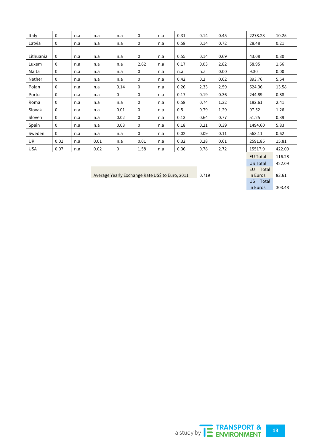| Italy      | $\mathbf 0$  | n.a | n.a  | n.a  | $\mathbf 0$  | n.a | 0.31 | 0.14 | 0.45 | 2278.23 | 10.25  |
|------------|--------------|-----|------|------|--------------|-----|------|------|------|---------|--------|
| Latvia     | 0            | n.a | n.a  | n.a  | 0            | n.a | 0.58 | 0.14 | 0.72 | 28.48   | 0.21   |
|            |              |     |      |      |              |     |      |      |      |         |        |
| Lithuania  | 0            | n.a | n.a  | n.a  | 0            | n.a | 0.55 | 0.14 | 0.69 | 43.08   | 0.30   |
| Luxem      | $\mathbf{0}$ | n.a | n.a  | n.a  | 2.62         | n.a | 0.17 | 0.03 | 2.82 | 58.95   | 1.66   |
| Malta      | 0            | n.a | n.a  | n.a  | $\mathbf 0$  | n.a | n.a  | n.a  | 0.00 | 9.30    | 0.00   |
| Nether     | 0            | n.a | n.a  | n.a  | 0            | n.a | 0.42 | 0.2  | 0.62 | 893.76  | 5.54   |
| Polan      | $\mathbf{0}$ | n.a | n.a  | 0.14 | $\mathbf{0}$ | n.a | 0.26 | 2.33 | 2.59 | 524.36  | 13.58  |
| Portu      | 0            | n.a | n.a  | 0    | 0            | n.a | 0.17 | 0.19 | 0.36 | 244.89  | 0.88   |
| Roma       | 0            | n.a | n.a  | n.a  | 0            | n.a | 0.58 | 0.74 | 1.32 | 182.61  | 2.41   |
| Slovak     | 0            | n.a | n.a  | 0.01 | 0            | n.a | 0.5  | 0.79 | 1.29 | 97.52   | 1.26   |
| Sloven     | $\Omega$     | n.a | n.a  | 0.02 | $\mathbf 0$  | n.a | 0.13 | 0.64 | 0.77 | 51.25   | 0.39   |
| Spain      | $\mathbf 0$  | n.a | n.a  | 0.03 | $\mathbf 0$  | n.a | 0.18 | 0.21 | 0.39 | 1494.60 | 5.83   |
| Sweden     | 0            | n.a | n.a  | n.a  | 0            | n.a | 0.02 | 0.09 | 0.11 | 563.11  | 0.62   |
| UK         | 0.01         | n.a | 0.01 | n.a  | 0.01         | n.a | 0.32 | 0.28 | 0.61 | 2591.85 | 15.81  |
| <b>USA</b> | 0.07         | n.a | 0.02 | 0    | 1.58         | n.a | 0.36 | 0.78 | 2.72 | 15517.9 | 422.09 |
|            |              |     |      |      |              |     |      |      |      |         |        |

Average Yearly Exchange Rate US\$ to Euro, 2011 0.719

EU Total 116.28 US Total 422.09 EU Total in Euros 83.61 US Total in Euros 303.48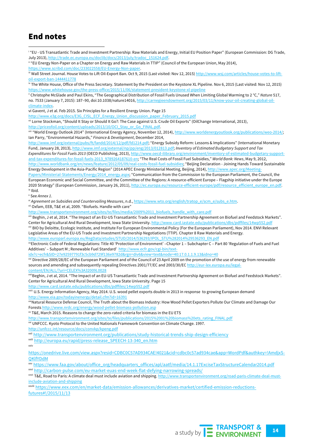## End notes

i

<sup>i</sup> "EU - US Transatlantic Trade and Investment Partnership: Raw Materials and Energy, Initial EU Position Paper" (European Commission: DG Trade, July 2013), http://trade.ec.europa.eu/doclib/docs/2013/july/tradoc\_151624.pdf. ii "EU Energy Non-Paper on a Chapter on Energy and Raw Materials in TTIP" (Council of the European Union, May 2014), https://www.scribd.com/doc/233022558/EU-Energy-Non-paper. iii Wall Street Journal. House Votes to Lift Oil-Export Ban. Oct 9, 2015 (Last visited: Nov 12, 2015) http://www.wsj.com/articles/house-votes-to-liftoil-export-ban-1444411778 iv The White House, Office of the Press Secretary. Statement by the President on the Keystone XL Pipeline. Nov 6, 2015 (Last visited: Nov 12, 2015) https://www.whitehouse.gov/the-press-office/2015/11/06/statement-president-keystone-xl-pipeline <sup>v</sup> Christophe McGlade and Paul Ekins, "The Geographical Distribution of Fossil Fuels Unused When Limiting Global Warming to 2 °C," *Nature* 517, no. 7533 (January 7, 2015): 187–90, doi:10.1038/nature14016, http://carnegieendowment.org/2015/03/11/know-your-oil-creating-global-oilclimate-index. vi Gavent, J et al. Feb 2015. Six Principles for a Resilient Energy Union. Page 15 http://www.e3g.org/docs/E3G\_CISL\_ECF\_Energy\_Union\_discussion\_paper\_February\_2015.pdf vii Lorne Stockman, "Should It Stay or Should It Go?: The Case against U.S. Crude Oil Exports" (OilChange International, 2013), http://priceofoil.org/content/uploads/2013/10/OCI\_Stay\_or\_Go\_FINAL.pdf. viii "World Energy Outlook 2014" (International Energy Agency, November 12, 2014), http://www.worldenergyoutlook.org/publications/weo-2014/; Ian Parry, "Environmental Hazards," *Finance & Development*, December 2014, http://www.imf.org/external/pubs/ft/fandd/2014/12/pdf/fd1214.pdf; "Energy Subsidy Reform: Lessons & Implications" (International Monetary Fund, January 28, 2013), http://www.imf.org/external/np/pp/eng/2013/012813.pdf; *Inventory of Estimated Budgetary Support and Tax Expenditures for Fossil Fuels 2013* (OECD Publishing, 2013), http://www.oecd-ilibrary.org/environment/inventory-of-estimated-budgetary-supportand-tax-expenditures-for-fossil-fuels-2013\_9789264187610-en; "The Real Costs of Fossil Fuel Subsidies," *World Bank: News*, May 9, 2012,

http://www.worldbank.org/en/news/feature/2012/05/09/real-costs-fossil-fuel-subsidies; "Beijing Declaration - Joining Hands Toward Sustainable Energy Development in the Asia-Pacific Region" (2014 APEC Energy Ministerial Meeting, Beijing, 2014), http://www.apec.org/Meeting-Papers/Ministerial-Statements/Energy/2014\_energy.aspx; "Communication from the Commission to the European Parliament, the Council, the European Economic and Social Committee, and the Committee of the Regions: A resource-efficient Europe – Flagship initiative under the Europe

2020 Strategy" (European Commission, January 26, 2011), http://ec.europa.eu/resource-efficient-europe/pdf/resource\_efficient\_europe\_en.pdf. ix Ibid.

<sup>x</sup> See *Annex 1*.

xi *Agreement on Subsidies and Countervailing Measures*, n.d., https://www.wto.org/english/tratop\_e/scm\_e/subs\_e.htm.

xii Oxfam, EEB, T&E et al, 2009. "Biofuels. Handle with care"

http://www.transportenvironment.org/sites/te/files/media/2009%2011\_biofuels\_handle\_with\_care.pdf

xiii Beghin, J et al, 2014. "The Impact of an EU-US Transatlantic Trade and Investment Partnership Agreement on Biofuel and Feedstock Markets". Center for Agricultural And Rural Development, Iowa State University. http://www.card.iastate.edu/publications/dbs/pdffiles/14wp552.pdf

xiv BIO by Deloitte, Ecologic Institute, and Institute For European Environmental Policy (For the European Parliament), Nov 2014. ENVI Relevant Legislative Areas of the EU-US Trade and Investment Partnership Negotiations (TTIP). Chapter 8 Raw Materials and Energy.

http://www.europarl.europa.eu/RegData/etudes/STUD/2014/536293/IPOL\_STU%282014%29536293\_EN.pdf<br><sup>w</sup>Electronic Code of Federal Regulations: Title 40 'Protection of Environment' -Chapter 1 - Subchapter C - Part 80 'Regulation Additives' – Subpart M ; Renewable Fuel Standard' http://www.ecfr.gov/cgi-bin/text-

idx?c=ecfr&SID=27e92597791f3c5cb9d729f136e9782d&rgn=div6&view=text&node=40:17.0.1.1.9.13&idno=40

xvi Directive 2009/28/EC of the European Parliament and of the Council of 23 April 2009 on the promotion of the use of energy from renewable sources and amending and subsequently repealing Directives 2001/77/EC and 2003/30/EC http://eur-lex.europa.eu/legalcontent/EN/ALL/?uri=CELEX%3A32009L0028

xviiBeghin, J et al, 2014. "The Impact of an EU-US Transatlantic Trade and Investment Partnership Agreement on Biofuel and Feedstock Markets". Center for Agricultural And Rural Development, Iowa State University. Page 15

http://www.card.iastate.edu/publications/dbs/pdffiles/14wp552.pdf

xviii U.S. Energy Information Agency, May 2014. U.S. wood pellet exports double in 2013 in response to growing European demand http://www.eia.gov/todayinenergy/detail.cfm?id=16391

xixNatural Resource Defense Council, The Truth about the Biomass Industry: How Wood Pellet Exporters Pollute Our Climate and Damage Our Forests http://www.nrdc.org/energy/wood-pellet-biomass-pollution.asp

<sup>xx</sup> T&E, March 2015. Reasons to change the zero-rated criteria for biomass in the EU ETS

http://www.transportenvironment.org/sites/te/files/publications/2015%2001%20biomass%20ets\_rating\_FINAL.pdf

<sup>xxi</sup> UNFCCC. Kyoto Protocol to the United Nationals Framework Convention on Climate Change. 1997.

http://unfccc.int/resource/docs/convkp/kpeng.pdf

xxii http://www.transportenvironment.org/publications/study-historical-trends-ship-design-efficiency

xxiii http://europa.eu/rapid/press-release\_SPEECH-13-340\_en.htm

xxiv

https://onedrive.live.com/view.aspx?resid=CDBC0C57AD934CAE!4021&cid=cdbc0c57ad934cae&app=WordPdf&authkey=!AmdjxS-**OKlfYDdM** 

xxv https://www.faa.gov/about/office\_org/headquarters\_offices/apl/aatf/media/14.1.17ExciseTaxStructureCalendar2014.pdf xxvi http://carbon-pulse.com/eu-market-euas-end-week-flat-defying-narrowing-spreads/

xxvii T&E, Road to Paris: A climate deal must include aviation and shipping. http://www.transportenvironment.org/road-paris-climate-deal-mustinclude-aviation-and-shipping

xxviii https://www.eex.com/en/market-data/emission-allowances/derivatives-market/certified-emission-reductionsfutures#!/2015/11/13